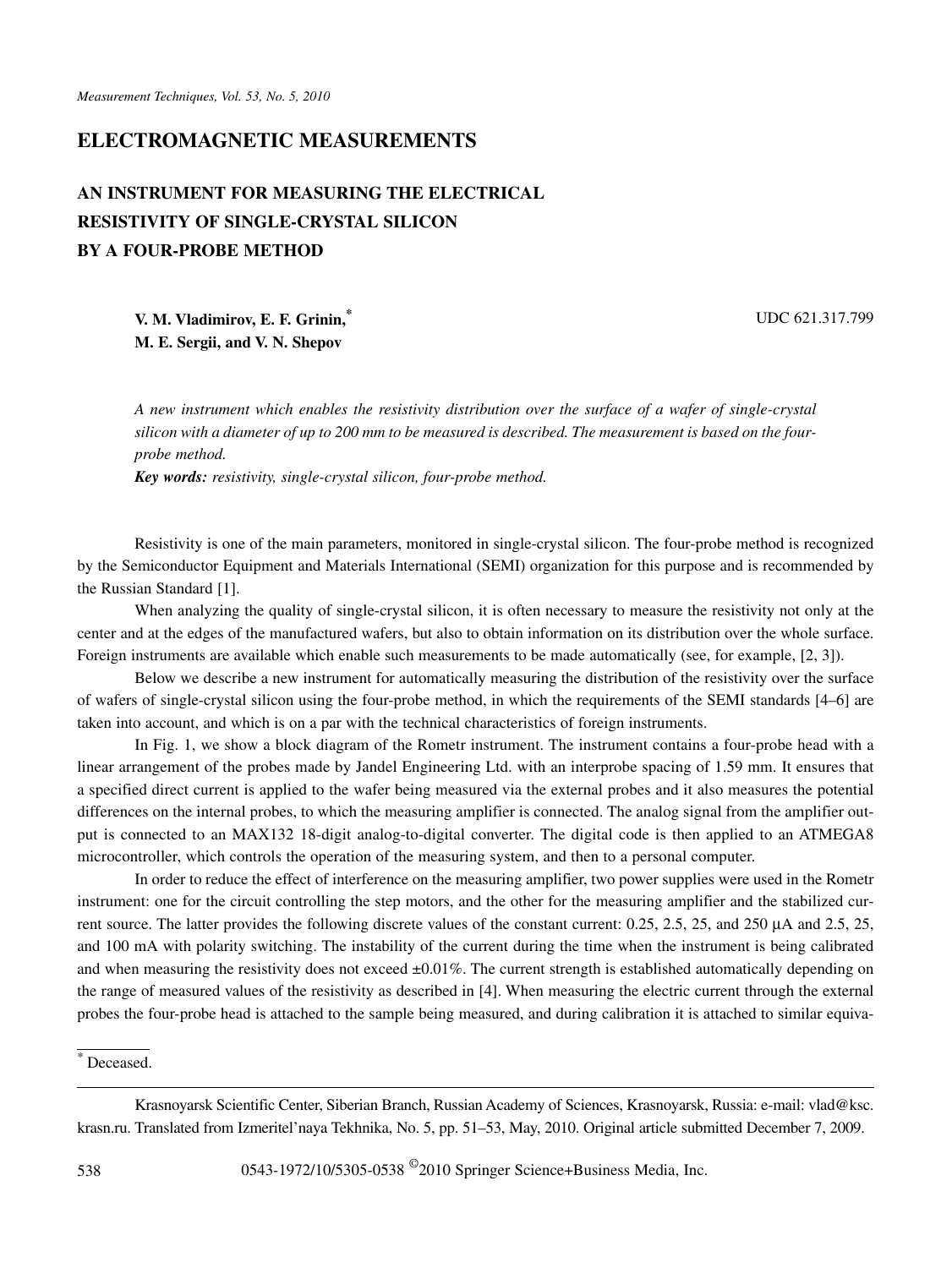## **ELECTROMAGNETIC MEASUREMENTS**

## **AN INSTRUMENT FOR MEASURING THE ELECTRICAL RESISTIVITY OF SINGLE-CRYSTAL SILICON BY A FOUR-PROBE METHOD**

**V. M. Vladimirov, E. F. Grinin,\* M. E. Sergii, and V. N. Shepov**

UDC 621.317.799

*A new instrument which enables the resistivity distribution over the surface of a wafer of single-crystal silicon with a diameter of up to 200 mm to be measured is described. The measurement is based on the fourprobe method. Key words: resistivity, single-crystal silicon, four-probe method.*

Resistivity is one of the main parameters, monitored in single-crystal silicon. The four-probe method is recognized by the Semiconductor Equipment and Materials International (SEMI) organization for this purpose and is recommended by the Russian Standard [1].

When analyzing the quality of single-crystal silicon, it is often necessary to measure the resistivity not only at the center and at the edges of the manufactured wafers, but also to obtain information on its distribution over the whole surface. Foreign instruments are available which enable such measurements to be made automatically (see, for example, [2, 3]).

Below we describe a new instrument for automatically measuring the distribution of the resistivity over the surface of wafers of single-crystal silicon using the four-probe method, in which the requirements of the SEMI standards [4–6] are taken into account, and which is on a par with the technical characteristics of foreign instruments.

In Fig. 1, we show a block diagram of the Rometr instrument. The instrument contains a four-probe head with a linear arrangement of the probes made by Jandel Engineering Ltd. with an interprobe spacing of 1.59 mm. It ensures that a specified direct current is applied to the wafer being measured via the external probes and it also measures the potential differences on the internal probes, to which the measuring amplifier is connected. The analog signal from the amplifier output is connected to an MAX132 18-digit analog-to-digital converter. The digital code is then applied to an ATMEGA8 microcontroller, which controls the operation of the measuring system, and then to a personal computer.

In order to reduce the effect of interference on the measuring amplifier, two power supplies were used in the Rometr instrument: one for the circuit controlling the step motors, and the other for the measuring amplifier and the stabilized current source. The latter provides the following discrete values of the constant current: 0.25, 2.5, 25, and 250 μA and 2.5, 25, and 100 mA with polarity switching. The instability of the current during the time when the instrument is being calibrated and when measuring the resistivity does not exceed  $\pm 0.01\%$ . The current strength is established automatically depending on the range of measured values of the resistivity as described in [4]. When measuring the electric current through the external probes the four-probe head is attached to the sample being measured, and during calibration it is attached to similar equiva-

Deceased.

Krasnoyarsk Scientific Center, Siberian Branch, Russian Academy of Sciences, Krasnoyarsk, Russia: e-mail: vlad@ksc. krasn.ru. Translated from Izmeritel'naya Tekhnika, No. 5, pp. 51–53, May, 2010. Original article submitted December 7, 2009.

538 0543-1972/10/5305-0538 <sup>©</sup> 2010 Springer Science+Business Media, Inc.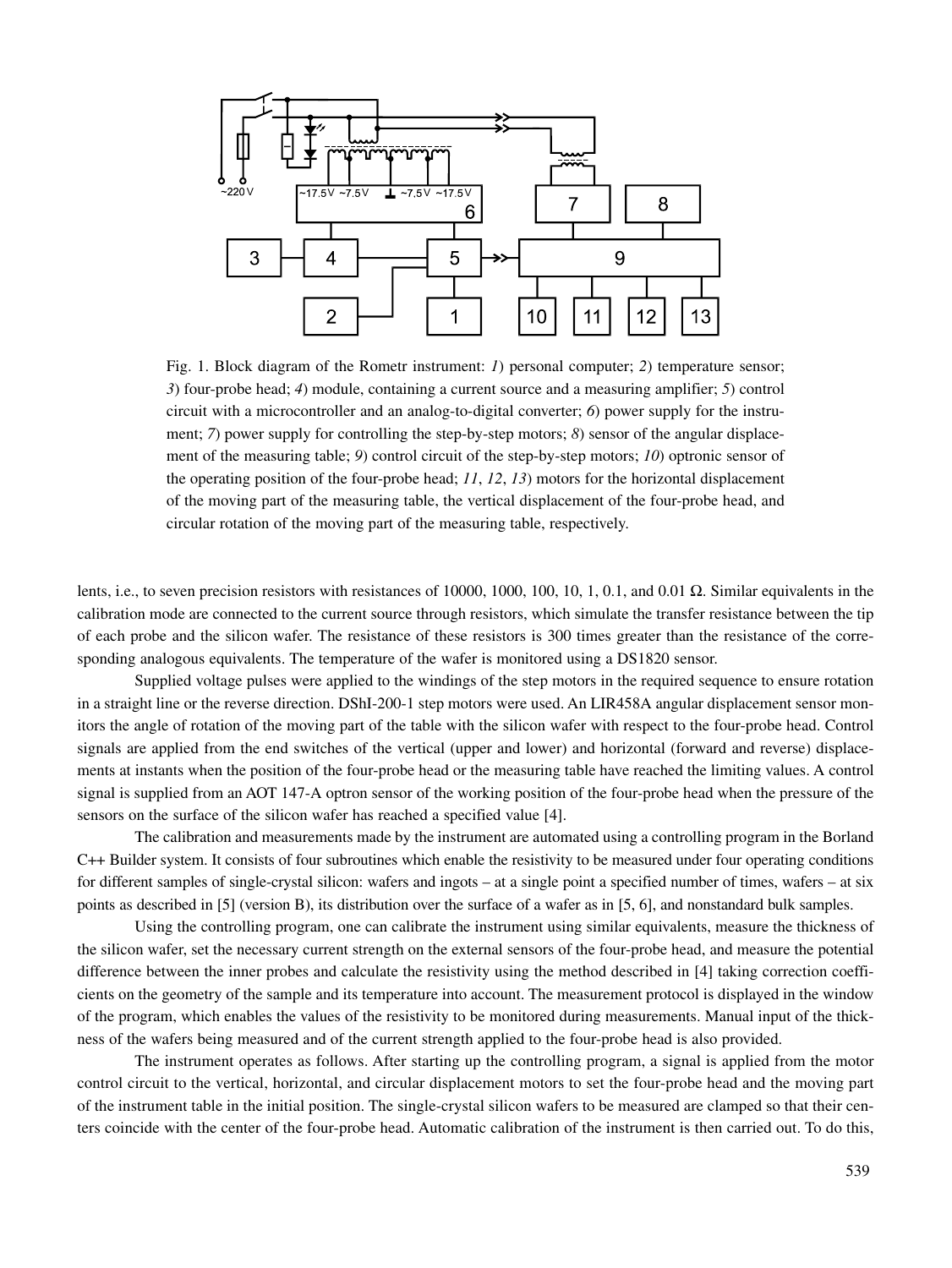

Fig. 1. Block diagram of the Rometr instrument: *1*) personal computer; *2*) temperature sensor; *3*) four-probe head; *4*) module, containing a current source and a measuring amplifier; *5*) control circuit with a microcontroller and an analog-to-digital converter; *6*) power supply for the instrument; *7*) power supply for controlling the step-by-step motors; *8*) sensor of the angular displacement of the measuring table; *9*) control circuit of the step-by-step motors; *10*) optronic sensor of the operating position of the four-probe head; *11*, *12*, *13*) motors for the horizontal displacement of the moving part of the measuring table, the vertical displacement of the four-probe head, and circular rotation of the moving part of the measuring table, respectively.

lents, i.e., to seven precision resistors with resistances of 10000, 1000, 100, 10, 1, 0.1, and 0.01 Ω. Similar equivalents in the calibration mode are connected to the current source through resistors, which simulate the transfer resistance between the tip of each probe and the silicon wafer. The resistance of these resistors is 300 times greater than the resistance of the corresponding analogous equivalents. The temperature of the wafer is monitored using a DS1820 sensor.

Supplied voltage pulses were applied to the windings of the step motors in the required sequence to ensure rotation in a straight line or the reverse direction. DShI-200-1 step motors were used. An LIR458A angular displacement sensor monitors the angle of rotation of the moving part of the table with the silicon wafer with respect to the four-probe head. Control signals are applied from the end switches of the vertical (upper and lower) and horizontal (forward and reverse) displacements at instants when the position of the four-probe head or the measuring table have reached the limiting values. A control signal is supplied from an AOT 147-A optron sensor of the working position of the four-probe head when the pressure of the sensors on the surface of the silicon wafer has reached a specified value [4].

The calibration and measurements made by the instrument are automated using a controlling program in the Borland C++ Builder system. It consists of four subroutines which enable the resistivity to be measured under four operating conditions for different samples of single-crystal silicon: wafers and ingots – at a single point a specified number of times, wafers – at six points as described in [5] (version B), its distribution over the surface of a wafer as in [5, 6], and nonstandard bulk samples.

Using the controlling program, one can calibrate the instrument using similar equivalents, measure the thickness of the silicon wafer, set the necessary current strength on the external sensors of the four-probe head, and measure the potential difference between the inner probes and calculate the resistivity using the method described in [4] taking correction coefficients on the geometry of the sample and its temperature into account. The measurement protocol is displayed in the window of the program, which enables the values of the resistivity to be monitored during measurements. Manual input of the thickness of the wafers being measured and of the current strength applied to the four-probe head is also provided.

The instrument operates as follows. After starting up the controlling program, a signal is applied from the motor control circuit to the vertical, horizontal, and circular displacement motors to set the four-probe head and the moving part of the instrument table in the initial position. The single-crystal silicon wafers to be measured are clamped so that their centers coincide with the center of the four-probe head. Automatic calibration of the instrument is then carried out. To do this,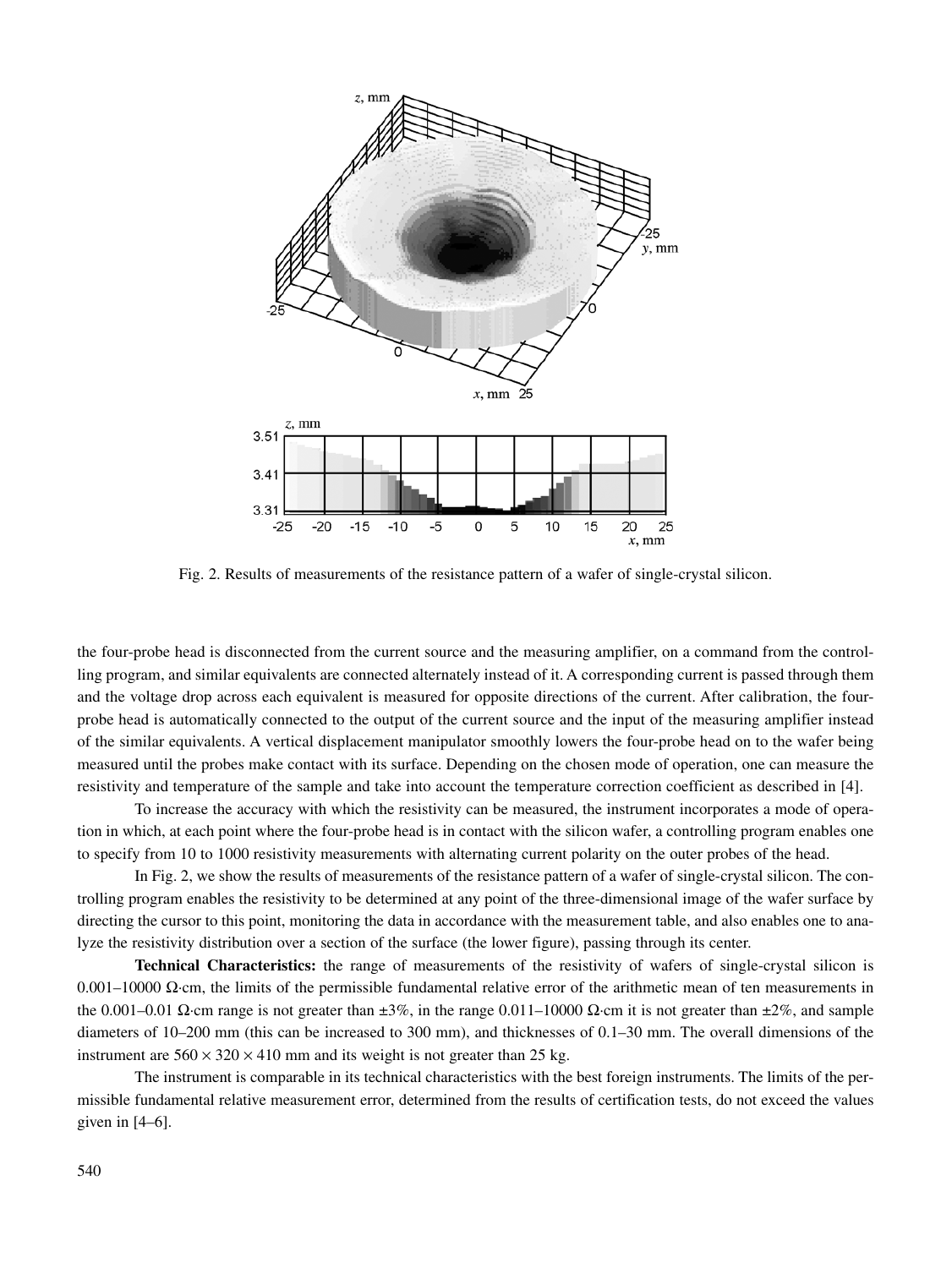

Fig. 2. Results of measurements of the resistance pattern of a wafer of single-crystal silicon.

the four-probe head is disconnected from the current source and the measuring amplifier, on a command from the controlling program, and similar equivalents are connected alternately instead of it. A corresponding current is passed through them and the voltage drop across each equivalent is measured for opposite directions of the current. After calibration, the fourprobe head is automatically connected to the output of the current source and the input of the measuring amplifier instead of the similar equivalents. A vertical displacement manipulator smoothly lowers the four-probe head on to the wafer being measured until the probes make contact with its surface. Depending on the chosen mode of operation, one can measure the resistivity and temperature of the sample and take into account the temperature correction coefficient as described in [4].

To increase the accuracy with which the resistivity can be measured, the instrument incorporates a mode of operation in which, at each point where the four-probe head is in contact with the silicon wafer, a controlling program enables one to specify from 10 to 1000 resistivity measurements with alternating current polarity on the outer probes of the head.

In Fig. 2, we show the results of measurements of the resistance pattern of a wafer of single-crystal silicon. The controlling program enables the resistivity to be determined at any point of the three-dimensional image of the wafer surface by directing the cursor to this point, monitoring the data in accordance with the measurement table, and also enables one to analyze the resistivity distribution over a section of the surface (the lower figure), passing through its center.

**Technical Characteristics:** the range of measurements of the resistivity of wafers of single-crystal silicon is 0.001–10000 Ω·cm, the limits of the permissible fundamental relative error of the arithmetic mean of ten measurements in the 0.001–0.01  $\Omega$ ·cm range is not greater than  $\pm 3\%$ , in the range 0.011–10000  $\Omega$ ·cm it is not greater than  $\pm 2\%$ , and sample diameters of 10–200 mm (this can be increased to 300 mm), and thicknesses of 0.1–30 mm. The overall dimensions of the instrument are  $560 \times 320 \times 410$  mm and its weight is not greater than 25 kg.

The instrument is comparable in its technical characteristics with the best foreign instruments. The limits of the permissible fundamental relative measurement error, determined from the results of certification tests, do not exceed the values given in [4–6].